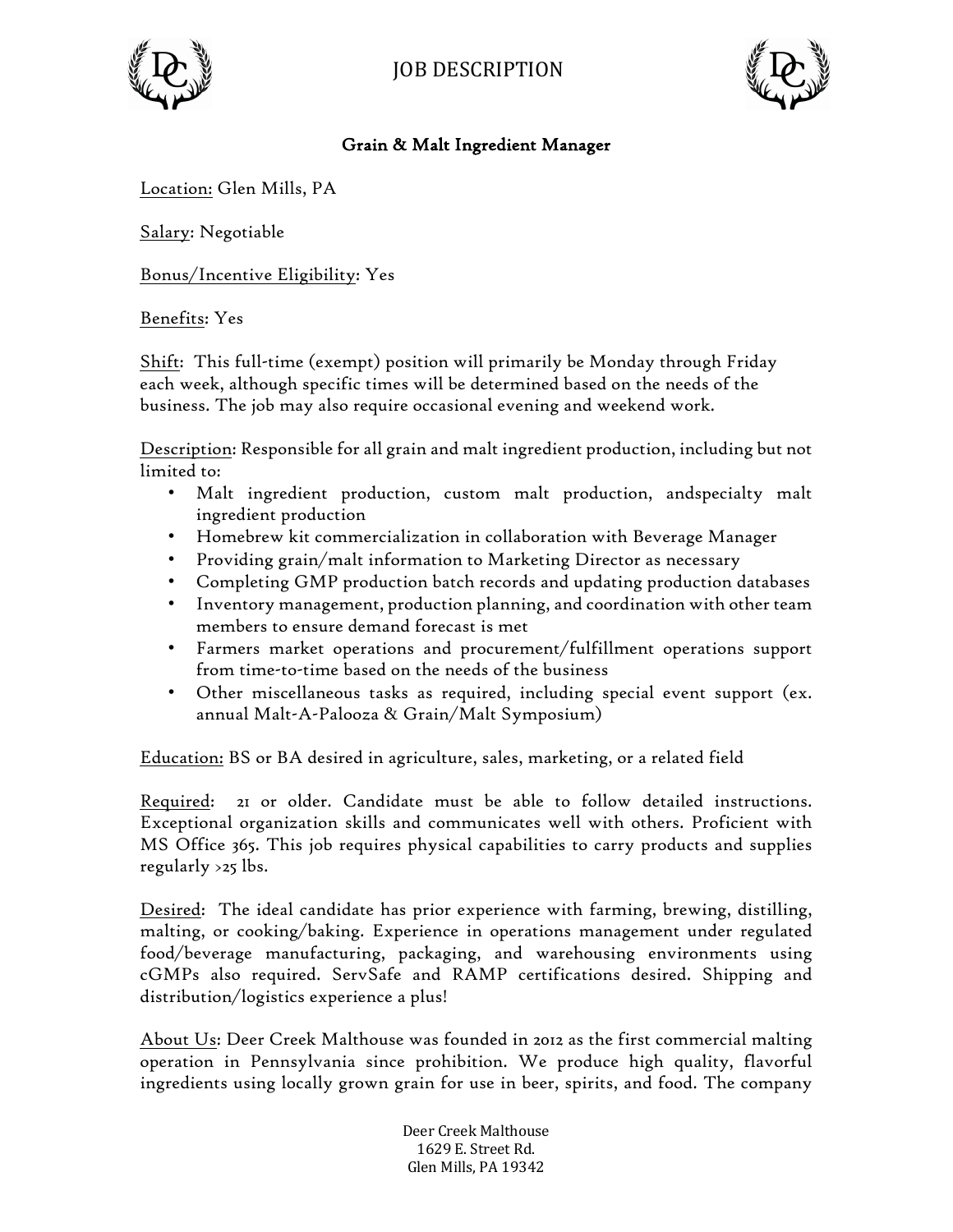



## Grain & Malt Ingredient Manager

Location: Glen Mills, PA

Salary: Negotiable

Bonus/Incentive Eligibility: Yes

## Benefits: Yes

Shift: This full-time (exempt) position will primarily be Monday through Friday each week, although specific times will be determined based on the needs of the business. The job may also require occasional evening and weekend work.

Description: Responsible for all grain and malt ingredient production, including but not limited to:

- Malt ingredient production, custom malt production, andspecialty malt ingredient production
- Homebrew kit commercialization in collaboration with Beverage Manager
- Providing grain/malt information to Marketing Director as necessary
- Completing GMP production batch records and updating production databases
- Inventory management, production planning, and coordination with other team members to ensure demand forecast is met
- Farmers market operations and procurement/fulfillment operations support from time-to-time based on the needs of the business
- Other miscellaneous tasks as required, including special event support (ex. annual Malt-A-Palooza & Grain/Malt Symposium)

Education: BS or BA desired in agriculture, sales, marketing, or a related field

Required: 21 or older. Candidate must be able to follow detailed instructions. Exceptional organization skills and communicates well with others. Proficient with MS Office 365. This job requires physical capabilities to carry products and supplies regularly  $>25$  lbs.

Desired: The ideal candidate has prior experience with farming, brewing, distilling, malting, or cooking/baking. Experience in operations management under regulated food/beverage manufacturing, packaging, and warehousing environments using cGMPs also required. ServSafe and RAMP certifications desired. Shipping and distribution/logistics experience a plus!

About Us: Deer Creek Malthouse was founded in 2012 as the first commercial malting operation in Pennsylvania since prohibition. We produce high quality, flavorful ingredients using locally grown grain for use in beer, spirits, and food. The company

> Deer Creek Malthouse 1629 E. Street Rd. Glen Mills, PA 19342